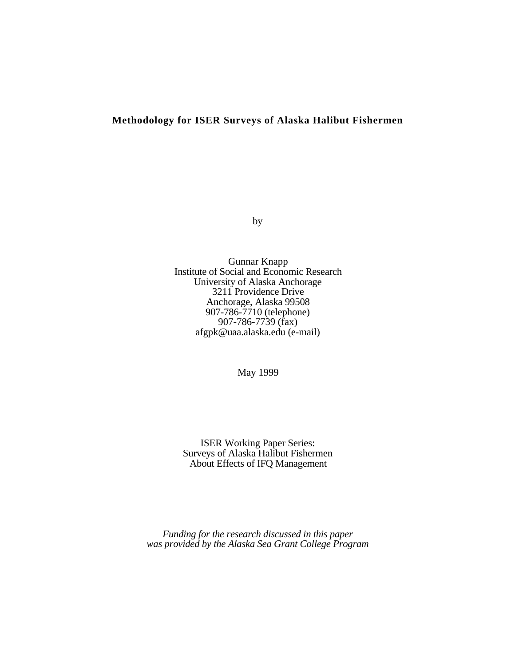## **Methodology for ISER Surveys of Alaska Halibut Fishermen**

by

Gunnar Knapp Institute of Social and Economic Research University of Alaska Anchorage 3211 Providence Drive Anchorage, Alaska 99508 907-786-7710 (telephone) 907-786-7739 (fax) afgpk@uaa.alaska.edu (e-mail)

May 1999

ISER Working Paper Series: Surveys of Alaska Halibut Fishermen About Effects of IFQ Management

*Funding for the research discussed in this paper was provided by the Alaska Sea Grant College Program*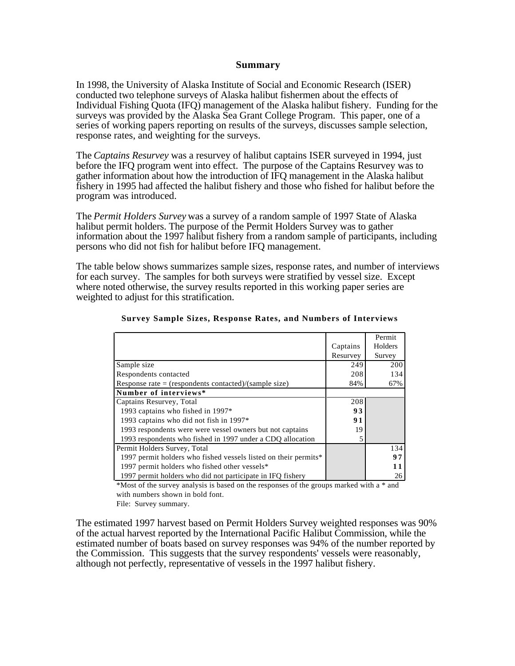## **Summary**

In 1998, the University of Alaska Institute of Social and Economic Research (ISER) conducted two telephone surveys of Alaska halibut fishermen about the effects of Individual Fishing Quota (IFQ) management of the Alaska halibut fishery. Funding for the surveys was provided by the Alaska Sea Grant College Program. This paper, one of a series of working papers reporting on results of the surveys, discusses sample selection, response rates, and weighting for the surveys.

The *Captains Resurvey* was a resurvey of halibut captains ISER surveyed in 1994, just before the IFQ program went into effect. The purpose of the Captains Resurvey was to gather information about how the introduction of IFQ management in the Alaska halibut fishery in 1995 had affected the halibut fishery and those who fished for halibut before the program was introduced.

The *Permit Holders Survey* was a survey of a random sample of 1997 State of Alaska halibut permit holders. The purpose of the Permit Holders Survey was to gather information about the 1997 halibut fishery from a random sample of participants, including persons who did not fish for halibut before IFQ management.

The table below shows summarizes sample sizes, response rates, and number of interviews for each survey. The samples for both surveys were stratified by vessel size. Except where noted otherwise, the survey results reported in this working paper series are weighted to adjust for this stratification.

|                                                                 |          | Permit  |
|-----------------------------------------------------------------|----------|---------|
|                                                                 | Captains | Holders |
|                                                                 | Resurvey | Survey  |
| Sample size                                                     | 249      | 200     |
| Respondents contacted                                           | 208      | 134     |
| Response rate = (respondents contacted)/(sample size)           | 84%      | 67%     |
| Number of interviews*                                           |          |         |
| Captains Resurvey, Total                                        | 208      |         |
| 1993 captains who fished in 1997*                               | 93       |         |
| 1993 captains who did not fish in 1997*                         | 91       |         |
| 1993 respondents were were vessel owners but not captains       | 19       |         |
| 1993 respondents who fished in 1997 under a CDO allocation      |          |         |
| Permit Holders Survey, Total                                    |          | 134     |
| 1997 permit holders who fished vessels listed on their permits* |          | 97      |
| 1997 permit holders who fished other vessels*                   |          | 11      |
| 1997 permit holders who did not participate in IFQ fishery      |          | 26      |

**Survey Sample Sizes, Response Rates, and Numbers of Interviews**

\*Most of the survey analysis is based on the responses of the groups marked with a \* and with numbers shown in bold font.

File: Survey summary.

The estimated 1997 harvest based on Permit Holders Survey weighted responses was 90% of the actual harvest reported by the International Pacific Halibut Commission, while the estimated number of boats based on survey responses was 94% of the number reported by the Commission. This suggests that the survey respondents' vessels were reasonably, although not perfectly, representative of vessels in the 1997 halibut fishery.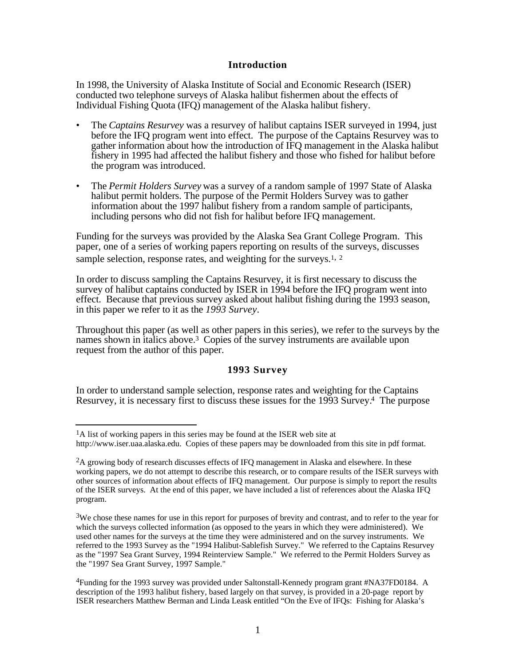## **Introduction**

In 1998, the University of Alaska Institute of Social and Economic Research (ISER) conducted two telephone surveys of Alaska halibut fishermen about the effects of Individual Fishing Quota (IFQ) management of the Alaska halibut fishery.

- The *Captains Resurvey* was a resurvey of halibut captains ISER surveyed in 1994, just before the IFQ program went into effect. The purpose of the Captains Resurvey was to gather information about how the introduction of IFQ management in the Alaska halibut fishery in 1995 had affected the halibut fishery and those who fished for halibut before the program was introduced.
- The *Permit Holders Survey* was a survey of a random sample of 1997 State of Alaska halibut permit holders. The purpose of the Permit Holders Survey was to gather information about the 1997 halibut fishery from a random sample of participants, including persons who did not fish for halibut before IFQ management.

Funding for the surveys was provided by the Alaska Sea Grant College Program. This paper, one of a series of working papers reporting on results of the surveys, discusses sample selection, response rates, and weighting for the surveys.<sup>1, 2</sup>

In order to discuss sampling the Captains Resurvey, it is first necessary to discuss the survey of halibut captains conducted by ISER in 1994 before the IFQ program went into effect. Because that previous survey asked about halibut fishing during the 1993 season, in this paper we refer to it as the *1993 Survey*.

Throughout this paper (as well as other papers in this series), we refer to the surveys by the names shown in italics above.3 Copies of the survey instruments are available upon request from the author of this paper.

# **1993 Survey**

In order to understand sample selection, response rates and weighting for the Captains Resurvey, it is necessary first to discuss these issues for the 1993 Survey.4 The purpose

l <sup>1</sup>A list of working papers in this series may be found at the ISER web site at http://www.iser.uaa.alaska.edu. Copies of these papers may be downloaded from this site in pdf format.

<sup>&</sup>lt;sup>2</sup>A growing body of research discusses effects of IFQ management in Alaska and elsewhere. In these working papers, we do not attempt to describe this research, or to compare results of the ISER surveys with other sources of information about effects of IFQ management. Our purpose is simply to report the results of the ISER surveys. At the end of this paper, we have included a list of references about the Alaska IFQ program.

<sup>3</sup>We chose these names for use in this report for purposes of brevity and contrast, and to refer to the year for which the surveys collected information (as opposed to the years in which they were administered). We used other names for the surveys at the time they were administered and on the survey instruments. We referred to the 1993 Survey as the "1994 Halibut-Sablefish Survey." We referred to the Captains Resurvey as the "1997 Sea Grant Survey, 1994 Reinterview Sample." We referred to the Permit Holders Survey as the "1997 Sea Grant Survey, 1997 Sample."

<sup>4</sup>Funding for the 1993 survey was provided under Saltonstall-Kennedy program grant #NA37FD0184. A description of the 1993 halibut fishery, based largely on that survey, is provided in a 20-page report by ISER researchers Matthew Berman and Linda Leask entitled "On the Eve of IFQs: Fishing for Alaska's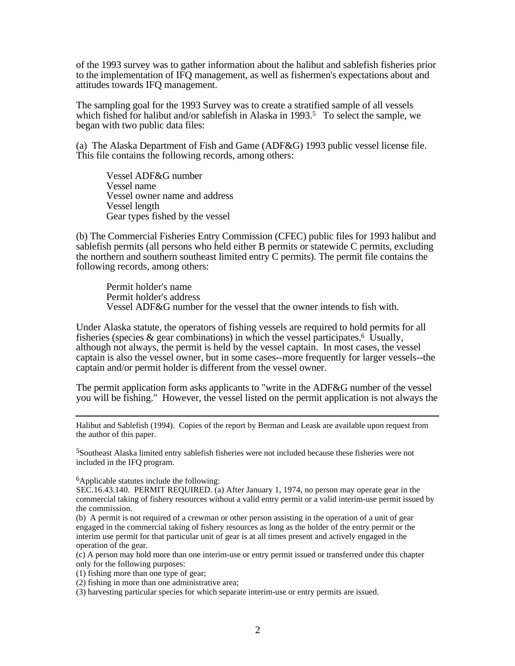of the 1993 survey was to gather information about the halibut and sablefish fisheries prior to the implementation of IFQ management, as well as fishermen's expectations about and attitudes towards IFQ management.

The sampling goal for the 1993 Survey was to create a stratified sample of all vessels which fished for halibut and/or sablefish in Alaska in 1993.<sup>5</sup> To select the sample, we began with two public data files:

(a) The Alaska Department of Fish and Game (ADF&G) 1993 public vessel license file. This file contains the following records, among others:

Vessel ADF&G number Vessel name Vessel owner name and address Vessel length Gear types fished by the vessel

(b) The Commercial Fisheries Entry Commission (CFEC) public files for 1993 halibut and sablefish permits (all persons who held either B permits or statewide C permits, excluding the northern and southern southeast limited entry C permits). The permit file contains the following records, among others:

Permit holder's name Permit holder's address Vessel ADF&G number for the vessel that the owner intends to fish with.

Under Alaska statute, the operators of fishing vessels are required to hold permits for all fisheries (species  $\&$  gear combinations) in which the vessel participates.<sup>6</sup> Usually, although not always, the permit is held by the vessel captain. In most cases, the vessel captain is also the vessel owner, but in some cases--more frequently for larger vessels--the captain and/or permit holder is different from the vessel owner.

The permit application form asks applicants to "write in the ADF&G number of the vessel you will be fishing." However, the vessel listed on the permit application is not always the

Halibut and Sablefish (1994). Copies of the report by Berman and Leask are available upon request from the author of this paper.

<sup>5</sup>Southeast Alaska limited entry sablefish fisheries were not included because these fisheries were not included in the IFQ program.

<sup>6</sup>Applicable statutes include the following:

l

SEC.16.43.140. PERMIT REQUIRED. (a) After January 1, 1974, no person may operate gear in the commercial taking of fishery resources without a valid entry permit or a valid interim-use permit issued by the commission.

(b) A permit is not required of a crewman or other person assisting in the operation of a unit of gear engaged in the commercial taking of fishery resources as long as the holder of the entry permit or the interim use permit for that particular unit of gear is at all times present and actively engaged in the operation of the gear.

(c) A person may hold more than one interim-use or entry permit issued or transferred under this chapter only for the following purposes:

(1) fishing more than one type of gear;

(2) fishing in more than one administrative area;

(3) harvesting particular species for which separate interim-use or entry permits are issued.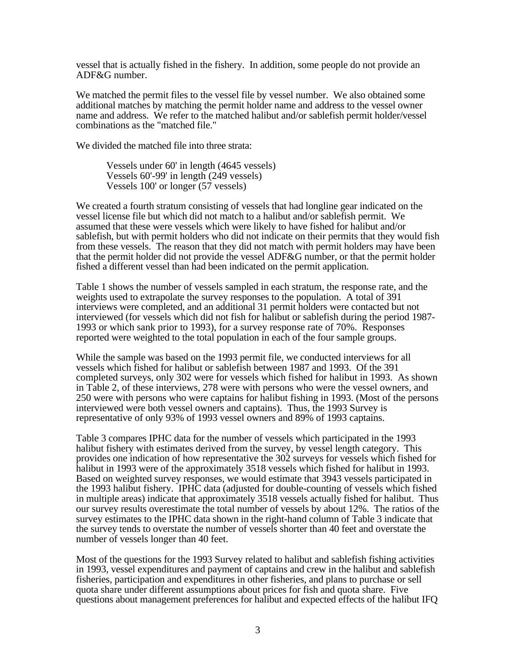vessel that is actually fished in the fishery. In addition, some people do not provide an ADF&G number.

We matched the permit files to the vessel file by vessel number. We also obtained some additional matches by matching the permit holder name and address to the vessel owner name and address. We refer to the matched halibut and/or sablefish permit holder/vessel combinations as the "matched file."

We divided the matched file into three strata:

Vessels under 60' in length (4645 vessels) Vessels 60'-99' in length (249 vessels) Vessels 100' or longer (57 vessels)

We created a fourth stratum consisting of vessels that had longline gear indicated on the vessel license file but which did not match to a halibut and/or sablefish permit. We assumed that these were vessels which were likely to have fished for halibut and/or sablefish, but with permit holders who did not indicate on their permits that they would fish from these vessels. The reason that they did not match with permit holders may have been that the permit holder did not provide the vessel ADF&G number, or that the permit holder fished a different vessel than had been indicated on the permit application.

Table 1 shows the number of vessels sampled in each stratum, the response rate, and the weights used to extrapolate the survey responses to the population. A total of 391 interviews were completed, and an additional 31 permit holders were contacted but not interviewed (for vessels which did not fish for halibut or sablefish during the period 1987- 1993 or which sank prior to 1993), for a survey response rate of 70%. Responses reported were weighted to the total population in each of the four sample groups.

While the sample was based on the 1993 permit file, we conducted interviews for all vessels which fished for halibut or sablefish between 1987 and 1993. Of the 391 completed surveys, only 302 were for vessels which fished for halibut in 1993. As shown in Table 2, of these interviews, 278 were with persons who were the vessel owners, and 250 were with persons who were captains for halibut fishing in 1993. (Most of the persons interviewed were both vessel owners and captains). Thus, the 1993 Survey is representative of only 93% of 1993 vessel owners and 89% of 1993 captains.

Table 3 compares IPHC data for the number of vessels which participated in the 1993 halibut fishery with estimates derived from the survey, by vessel length category. This provides one indication of how representative the 302 surveys for vessels which fished for halibut in 1993 were of the approximately 3518 vessels which fished for halibut in 1993. Based on weighted survey responses, we would estimate that 3943 vessels participated in the 1993 halibut fishery. IPHC data (adjusted for double-counting of vessels which fished in multiple areas) indicate that approximately 3518 vessels actually fished for halibut. Thus our survey results overestimate the total number of vessels by about 12%. The ratios of the survey estimates to the IPHC data shown in the right-hand column of Table 3 indicate that the survey tends to overstate the number of vessels shorter than 40 feet and overstate the number of vessels longer than 40 feet.

Most of the questions for the 1993 Survey related to halibut and sablefish fishing activities in 1993, vessel expenditures and payment of captains and crew in the halibut and sablefish fisheries, participation and expenditures in other fisheries, and plans to purchase or sell quota share under different assumptions about prices for fish and quota share. Five questions about management preferences for halibut and expected effects of the halibut IFQ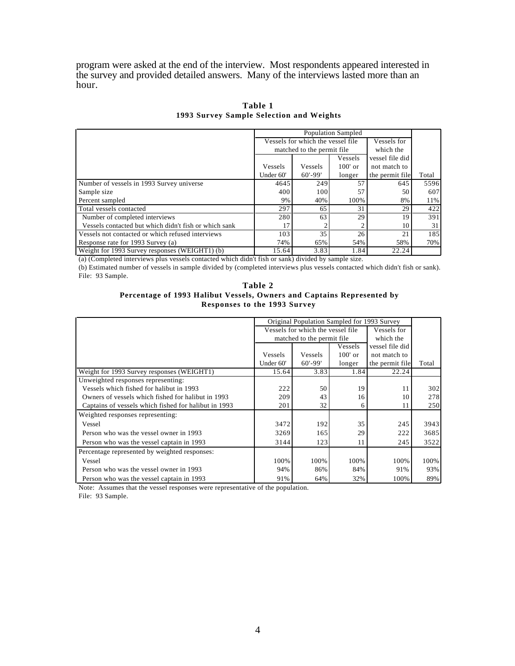program were asked at the end of the interview. Most respondents appeared interested in the survey and provided detailed answers. Many of the interviews lasted more than an hour.

|                                                       | <b>Population Sampled</b>                        |                             |           |                 |       |
|-------------------------------------------------------|--------------------------------------------------|-----------------------------|-----------|-----------------|-------|
|                                                       | Vessels for which the vessel file<br>Vessels for |                             |           |                 |       |
|                                                       |                                                  | matched to the permit file. |           | which the       |       |
|                                                       |                                                  |                             | Vessels   | vessel file did |       |
|                                                       | Vessels                                          | Vessels                     | $100'$ or | not match to    |       |
|                                                       | Under 60'                                        | $60' - 99'$                 | longer    | the permit file | Total |
| Number of vessels in 1993 Survey universe             | 4645                                             | 249                         | 57        | 645             | 5596  |
| Sample size                                           | 400                                              | 100                         | 57        | 50              | 607   |
| Percent sampled                                       | 9%                                               | 40%                         | 100%      | 8%              | 11%   |
| Total vessels contacted                               | 297                                              | 65                          | 31        | 29              | 422   |
| Number of completed interviews                        | 280                                              | 63                          | 29        | 19              | 391   |
| Vessels contacted but which didn't fish or which sank | 17                                               |                             |           | 10              | 31    |
| Vessels not contacted or which refused interviews     | 103                                              | 35                          | 26        | 21              | 185   |
| Response rate for 1993 Survey (a)                     | 74%                                              | 65%                         | 54%       | 58%             | 70%   |
| Weight for 1993 Survey responses (WEIGHT1) (b)        | 15.64                                            | 3.83                        | 1.84      | 22.24           |       |

**Table 1 1993 Survey Sample Selection and Weights**

(a) (Completed interviews plus vessels contacted which didn't fish or sank) divided by sample size.

(b) Estimated number of vessels in sample divided by (completed interviews plus vessels contacted which didn't fish or sank). File: 93 Sample.

| .                                                                      |
|------------------------------------------------------------------------|
| Table 2                                                                |
| Percentage of 1993 Halibut Vessels, Owners and Captains Represented by |
| Responses to the 1993 Survey                                           |

|                                                      | Original Population Sampled for 1993 Survey |                                   |             |                 |       |
|------------------------------------------------------|---------------------------------------------|-----------------------------------|-------------|-----------------|-------|
|                                                      |                                             | Vessels for which the vessel file | Vessels for |                 |       |
|                                                      |                                             | matched to the permit file        |             | which the       |       |
|                                                      |                                             |                                   | Vessels     | vessel file did |       |
|                                                      | Vessels                                     | <b>Vessels</b>                    | $100'$ or   | not match to    |       |
|                                                      | Under 60'                                   | $60' - 99'$                       | longer      | the permit file | Total |
| Weight for 1993 Survey responses (WEIGHT1)           | 15.64                                       | 3.83                              | 1.84        | 22.24           |       |
| Unweighted responses representing:                   |                                             |                                   |             |                 |       |
| Vessels which fished for halibut in 1993             | 222                                         | 50                                | 19          | 11              | 302   |
| Owners of vessels which fished for halibut in 1993   | 209                                         | 43                                | 16          | 10              | 278   |
| Captains of vessels which fished for halibut in 1993 | 201                                         | 32                                | 6           | 11              | 250   |
| Weighted responses representing:                     |                                             |                                   |             |                 |       |
| Vessel                                               | 3472                                        | 192                               | 35          | 245             | 3943  |
| Person who was the vessel owner in 1993              | 3269                                        | 165                               | 29          | 222             | 3685  |
| Person who was the vessel captain in 1993            | 3144                                        | 123                               | 11          | 245             | 3522  |
| Percentage represented by weighted responses:        |                                             |                                   |             |                 |       |
| Vessel                                               | 100%                                        | 100%                              | 100%        | 100%            | 100%  |
| Person who was the vessel owner in 1993              | 94%                                         | 86%                               | 84%         | 91%             | 93%   |
| Person who was the vessel captain in 1993            | 91%                                         | 64%                               | 32%         | 100%            | 89%   |

Note: Assumes that the vessel responses were representative of the population.

File: 93 Sample.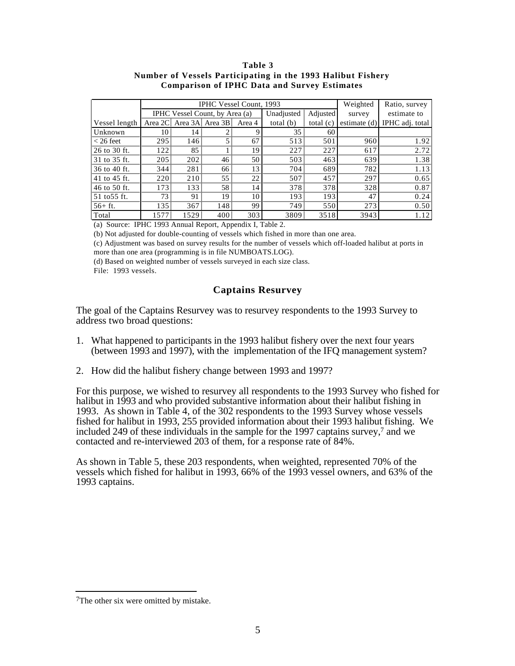#### **Table 3 Number of Vessels Participating in the 1993 Halibut Fishery Comparison of IPHC Data and Survey Estimates**

|               |          | IPHC Vessel Count, 1993 | Weighted                       | Ratio, survey |             |             |              |                 |
|---------------|----------|-------------------------|--------------------------------|---------------|-------------|-------------|--------------|-----------------|
|               |          |                         | IPHC Vessel Count, by Area (a) |               | Unadjusted  | Adjusted    | survey       | estimate to     |
| Vessel length | Area 2Cl |                         | Area 3A Area 3B                | Area 4        | total $(b)$ | total $(c)$ | estimate (d) | IPHC adj. total |
| Unknown       | 10       | 14                      |                                | 9             | 35          | 60          |              |                 |
| $<$ 26 feet   | 295      | 146                     |                                | 67            | 513         | 501         | 960          | 1.92            |
| 26 to 30 ft.  | 122      | 85                      |                                | 19            | 227         | 227         | 617          | 2.72            |
| 31 to 35 ft.  | 205      | 202                     | 46                             | 50            | 503         | 463         | 639          | 1.38            |
| 36 to 40 ft.  | 344      | 281                     | 66                             | 13            | 704         | 689         | 782          | 1.13            |
| 41 to 45 ft.  | 220      | 210                     | 55                             | 22            | 507         | 457         | 297          | 0.65            |
| 46 to 50 ft.  | 173      | 133                     | 58                             | 14            | 378         | 378         | 328          | 0.87            |
| 51 to 55 ft.  | 73       | 91                      | 19                             | 10            | 193         | 193         | 47           | 0.24            |
| $56+ft.$      | 135      | 367                     | 148                            | 99            | 749         | 550         | 273          | 0.50            |
| Total         | 1577     | 1529                    | 400                            | 303           | 3809        | 3518        | 3943         | 1.12            |

(a) Source: IPHC 1993 Annual Report, Appendix I, Table 2.

(b) Not adjusted for double-counting of vessels which fished in more than one area.

(c) Adjustment was based on survey results for the number of vessels which off-loaded halibut at ports in more than one area (programming is in file NUMBOATS.LOG).

(d) Based on weighted number of vessels surveyed in each size class.

File: 1993 vessels.

# **Captains Resurvey**

The goal of the Captains Resurvey was to resurvey respondents to the 1993 Survey to address two broad questions:

- 1. What happened to participants in the 1993 halibut fishery over the next four years (between 1993 and 1997), with the implementation of the IFQ management system?
- 2. How did the halibut fishery change between 1993 and 1997?

For this purpose, we wished to resurvey all respondents to the 1993 Survey who fished for halibut in 1993 and who provided substantive information about their halibut fishing in 1993. As shown in Table 4, of the 302 respondents to the 1993 Survey whose vessels fished for halibut in 1993, 255 provided information about their 1993 halibut fishing. We included 249 of these individuals in the sample for the 1997 captains survey,7 and we contacted and re-interviewed 203 of them, for a response rate of 84%.

As shown in Table 5, these 203 respondents, when weighted, represented 70% of the vessels which fished for halibut in 1993, 66% of the 1993 vessel owners, and 63% of the 1993 captains.

l

<sup>7</sup>The other six were omitted by mistake.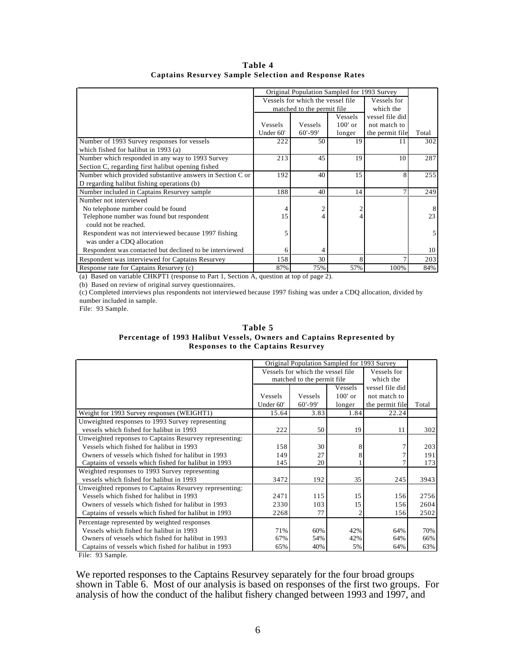|                                                           | Original Population Sampled for 1993 Survey |                                   |             |                 |       |
|-----------------------------------------------------------|---------------------------------------------|-----------------------------------|-------------|-----------------|-------|
|                                                           |                                             | Vessels for which the vessel file | Vessels for |                 |       |
|                                                           |                                             | matched to the permit file.       |             | which the       |       |
|                                                           |                                             |                                   | Vessels     | vessel file did |       |
|                                                           | Vessels                                     | Vessels                           | $100'$ or   | not match to    |       |
|                                                           | Under 60'                                   | $60' - 99'$                       | longer      | the permit file | Total |
| Number of 1993 Survey responses for vessels               | 222                                         | 50                                | 19          | 11              | 302   |
| which fished for halibut in 1993 (a)                      |                                             |                                   |             |                 |       |
| Number which responded in any way to 1993 Survey          | 213                                         | 45                                | 19          | 10              | 287   |
| Section C, regarding first halibut opening fished         |                                             |                                   |             |                 |       |
| Number which provided substantive answers in Section C or | 192                                         | 40                                | 15          | 8               | 255   |
| D regarding halibut fishing operations (b)                |                                             |                                   |             |                 |       |
| Number included in Captains Resurvey sample               | 188                                         | 40                                | 14          |                 | 249   |
| Number not interviewed                                    |                                             |                                   |             |                 |       |
| No telephone number could be found                        | 4                                           |                                   |             |                 |       |
| Telephone number was found but respondent                 | 15                                          |                                   |             |                 | 23    |
| could not be reached.                                     |                                             |                                   |             |                 |       |
| Respondent was not interviewed because 1997 fishing       | 5                                           |                                   |             |                 |       |
| was under a CDQ allocation                                |                                             |                                   |             |                 |       |
| Respondent was contacted but declined to be interviewed   | 6                                           |                                   |             |                 | 10    |
| Respondent was interviewed for Captains Resurvey          | 158                                         | 30                                | 8           |                 | 203   |
| Response rate for Captains Resurvey (c)                   | 87%                                         | 75%                               | 57%         | 100%            | 84%   |

**Table 4 Captains Resurvey Sample Selection and Response Rates**

(a) Based on variable CHKPT1 (response to Part 1, Section A, question at top of page 2).

(b) Based on review of original survey questionnaires.

(c) Completed interviews plus respondents not interviewed because 1997 fishing was under a CDQ allocation, divided by number included in sample.

File: 93 Sample.

**Table 5 Percentage of 1993 Halibut Vessels, Owners and Captains Represented by Responses to the Captains Resurvey**

|                                                        | Original Population Sampled for 1993 Survey |                                   |             |                 |       |
|--------------------------------------------------------|---------------------------------------------|-----------------------------------|-------------|-----------------|-------|
|                                                        |                                             | Vessels for which the vessel file | Vessels for |                 |       |
|                                                        |                                             | matched to the permit file        |             | which the       |       |
|                                                        |                                             |                                   | Vessels     | vessel file did |       |
|                                                        | Vessels                                     | Vessels                           | $100'$ or   | not match to    |       |
|                                                        | Under 60'                                   | $60' - 99'$                       | longer      | the permit file | Total |
| Weight for 1993 Survey responses (WEIGHT1)             | 15.64                                       | 3.83                              | 1.84        | 22.24           |       |
| Unweighted responses to 1993 Survey representing       |                                             |                                   |             |                 |       |
| vessels which fished for halibut in 1993               | 222                                         | 50                                | 19          | 11              | 302   |
| Unweighted reponses to Captains Resurvey representing: |                                             |                                   |             |                 |       |
| Vessels which fished for halibut in 1993               | 158                                         | 30                                |             |                 | 203   |
| Owners of vessels which fished for halibut in 1993     | 149                                         | 27                                |             |                 | 191   |
| Captains of vessels which fished for halibut in 1993   | 145                                         | 20                                |             |                 | 173   |
| Weighted responses to 1993 Survey representing         |                                             |                                   |             |                 |       |
| vessels which fished for halibut in 1993               | 3472                                        | 192                               | 35          | 245             | 3943  |
| Unweighted reponses to Captains Resurvey representing: |                                             |                                   |             |                 |       |
| Vessels which fished for halibut in 1993               | 2471                                        | 115                               | 15          | 156             | 2756  |
| Owners of vessels which fished for halibut in 1993     | 2330                                        | 103                               | 15          | 156             | 2604  |
| Captains of vessels which fished for halibut in 1993   | 2268                                        | 77                                |             | 156             | 2502  |
| Percentage represented by weighted responses           |                                             |                                   |             |                 |       |
| Vessels which fished for halibut in 1993               | 71%                                         | 60%                               | 42%         | 64%             | 70%   |
| Owners of vessels which fished for halibut in 1993     | 67%                                         | 54%                               | 42%         | 64%             | 66%   |
| Captains of vessels which fished for halibut in 1993   | 65%                                         | 40%                               | 5%          | 64%             | 63%   |

File: 93 Sample.

We reported responses to the Captains Resurvey separately for the four broad groups shown in Table 6. Most of our analysis is based on responses of the first two groups. For analysis of how the conduct of the halibut fishery changed between 1993 and 1997, and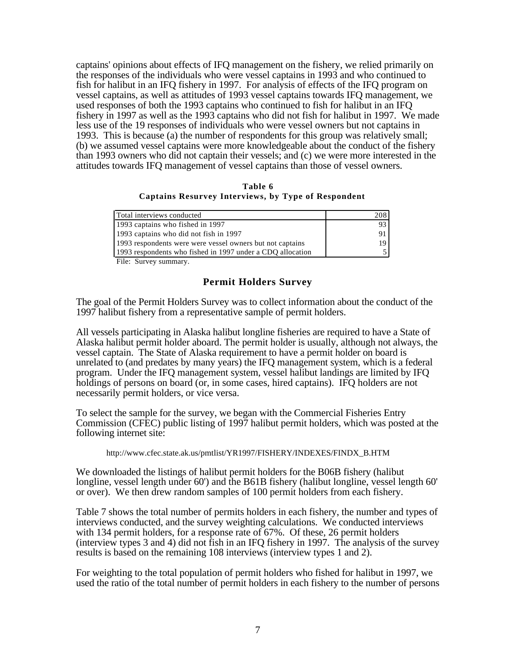captains' opinions about effects of IFQ management on the fishery, we relied primarily on the responses of the individuals who were vessel captains in 1993 and who continued to fish for halibut in an IFQ fishery in 1997. For analysis of effects of the IFQ program on vessel captains, as well as attitudes of 1993 vessel captains towards IFQ management, we used responses of both the 1993 captains who continued to fish for halibut in an IFQ fishery in 1997 as well as the 1993 captains who did not fish for halibut in 1997. We made less use of the 19 responses of individuals who were vessel owners but not captains in 1993. This is because (a) the number of respondents for this group was relatively small; (b) we assumed vessel captains were more knowledgeable about the conduct of the fishery than 1993 owners who did not captain their vessels; and (c) we were more interested in the attitudes towards IFQ management of vessel captains than those of vessel owners.

**Table 6 Captains Resurvey Interviews, by Type of Respondent**

| Total interviews conducted                                 | 2081 |
|------------------------------------------------------------|------|
| 1993 captains who fished in 1997                           |      |
| 1993 captains who did not fish in 1997                     |      |
| 1993 respondents were were vessel owners but not captains  | 19.  |
| 1993 respondents who fished in 1997 under a CDO allocation |      |

File: Survey summary.

# **Permit Holders Survey**

The goal of the Permit Holders Survey was to collect information about the conduct of the 1997 halibut fishery from a representative sample of permit holders.

All vessels participating in Alaska halibut longline fisheries are required to have a State of Alaska halibut permit holder aboard. The permit holder is usually, although not always, the vessel captain. The State of Alaska requirement to have a permit holder on board is unrelated to (and predates by many years) the IFQ management system, which is a federal program. Under the IFQ management system, vessel halibut landings are limited by IFQ holdings of persons on board (or, in some cases, hired captains). IFQ holders are not necessarily permit holders, or vice versa.

To select the sample for the survey, we began with the Commercial Fisheries Entry Commission (CFEC) public listing of 1997 halibut permit holders, which was posted at the following internet site:

http://www.cfec.state.ak.us/pmtlist/YR1997/FISHERY/INDEXES/FINDX\_B.HTM

We downloaded the listings of halibut permit holders for the B06B fishery (halibut longline, vessel length under 60') and the B61B fishery (halibut longline, vessel length 60' or over). We then drew random samples of 100 permit holders from each fishery.

Table 7 shows the total number of permits holders in each fishery, the number and types of interviews conducted, and the survey weighting calculations. We conducted interviews with 134 permit holders, for a response rate of 67%. Of these, 26 permit holders (interview types 3 and 4) did not fish in an IFQ fishery in 1997. The analysis of the survey results is based on the remaining 108 interviews (interview types 1 and 2).

For weighting to the total population of permit holders who fished for halibut in 1997, we used the ratio of the total number of permit holders in each fishery to the number of persons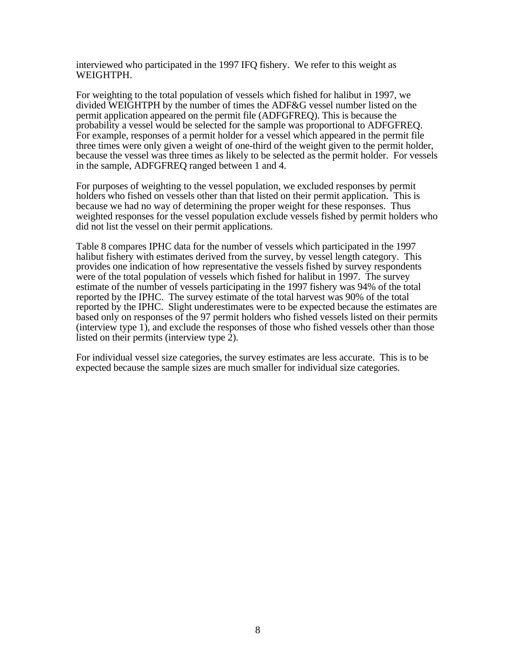interviewed who participated in the 1997 IFQ fishery. We refer to this weight as WEIGHTPH.

For weighting to the total population of vessels which fished for halibut in 1997, we divided WEIGHTPH by the number of times the ADF&G vessel number listed on the permit application appeared on the permit file (ADFGFREQ). This is because the probability a vessel would be selected for the sample was proportional to ADFGFREQ. For example, responses of a permit holder for a vessel which appeared in the permit file three times were only given a weight of one-third of the weight given to the permit holder, because the vessel was three times as likely to be selected as the permit holder. For vessels in the sample, ADFGFREQ ranged between 1 and 4.

For purposes of weighting to the vessel population, we excluded responses by permit holders who fished on vessels other than that listed on their permit application. This is because we had no way of determining the proper weight for these responses. Thus weighted responses for the vessel population exclude vessels fished by permit holders who did not list the vessel on their permit applications.

Table 8 compares IPHC data for the number of vessels which participated in the 1997 halibut fishery with estimates derived from the survey, by vessel length category. This provides one indication of how representative the vessels fished by survey respondents were of the total population of vessels which fished for halibut in 1997. The survey estimate of the number of vessels participating in the 1997 fishery was 94% of the total reported by the IPHC. The survey estimate of the total harvest was 90% of the total reported by the IPHC. Slight underestimates were to be expected because the estimates are based only on responses of the 97 permit holders who fished vessels listed on their permits (interview type 1), and exclude the responses of those who fished vessels other than those listed on their permits (interview type  $\overline{2}$ ).

For individual vessel size categories, the survey estimates are less accurate. This is to be expected because the sample sizes are much smaller for individual size categories.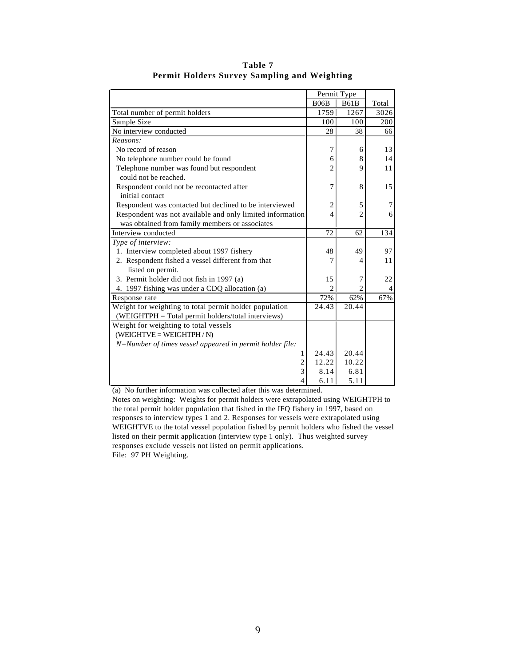|                                                           | Permit Type    |                |       |
|-----------------------------------------------------------|----------------|----------------|-------|
|                                                           | <b>B06B</b>    | <b>B61B</b>    | Total |
| Total number of permit holders                            | 1759           | 1267           | 3026  |
| Sample Size                                               | 100            | 100            | 200   |
| No interview conducted                                    | 28             | 38             | 66    |
| Reasons:                                                  |                |                |       |
| No record of reason                                       | 7              | 6              | 13    |
| No telephone number could be found                        | 6              | 8              | 14    |
| Telephone number was found but respondent                 | $\overline{c}$ | 9              | 11    |
| could not be reached.                                     |                |                |       |
| Respondent could not be recontacted after                 | 7              | 8              | 15    |
| initial contact                                           |                |                |       |
| Respondent was contacted but declined to be interviewed   | $\overline{2}$ | 5              | 7     |
| Respondent was not available and only limited information | $\overline{4}$ | $\mathfrak{D}$ | 6     |
| was obtained from family members or associates            |                |                |       |
| Interview conducted                                       | 72             | 62             | 134   |
| Type of interview:                                        |                |                |       |
| 1. Interview completed about 1997 fishery                 | 48             | 49             | 97    |
| 2. Respondent fished a vessel different from that         | 7              | 4              | 11    |
| listed on permit.                                         |                |                |       |
| 3. Permit holder did not fish in 1997 (a)                 | 15             | 7              | 22    |
| 4. 1997 fishing was under a CDQ allocation (a)            | $\mathfrak{D}$ | 2              | 4     |
| Response rate                                             | 72%            | 62%            | 67%   |
| Weight for weighting to total permit holder population    | 24.43          | 20.44          |       |
| (WEIGHTPH = Total permit holders/total interviews)        |                |                |       |
| Weight for weighting to total vessels                     |                |                |       |
| $(WEIGHTVE = WEIGHTPH / N)$                               |                |                |       |
| N=Number of times vessel appeared in permit holder file:  |                |                |       |
| 1                                                         | 24.43          | 20.44          |       |
| 2                                                         | 12.22          | 10.22          |       |
| 3                                                         | 8.14           | 6.81           |       |
| 4                                                         | 6.11           | 5.11           |       |

**Table 7 Permit Holders Survey Sampling and Weighting**

(a) No further information was collected after this was determined.

Notes on weighting: Weights for permit holders were extrapolated using WEIGHTPH to the total permit holder population that fished in the IFQ fishery in 1997, based on responses to interview types 1 and 2. Responses for vessels were extrapolated using WEIGHTVE to the total vessel population fished by permit holders who fished the vessel listed on their permit application (interview type 1 only). Thus weighted survey responses exclude vessels not listed on permit applications. File: 97 PH Weighting.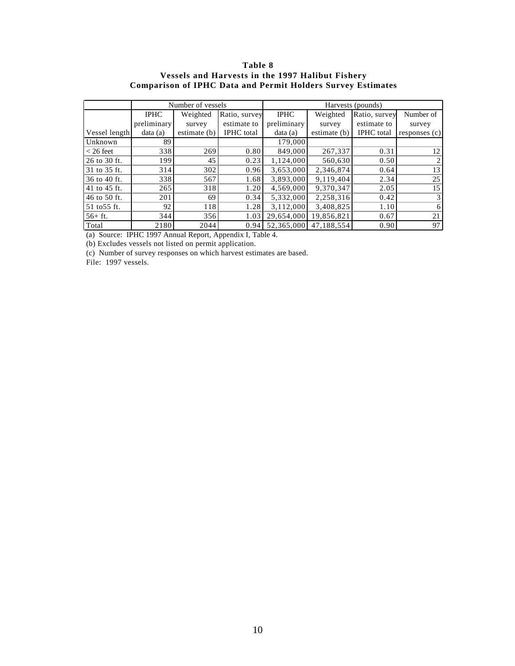### **Table 8 Vessels and Harvests in the 1997 Halibut Fishery Comparison of IPHC Data and Permit Holders Survey Estimates**

|               |             | Number of vessels |                   | Harvests (pounds) |              |                   |                 |  |
|---------------|-------------|-------------------|-------------------|-------------------|--------------|-------------------|-----------------|--|
|               | <b>IPHC</b> | Weighted          | Ratio, survey     | <b>IPHC</b>       | Weighted     | Ratio, survey     | Number of       |  |
|               | preliminary | survey            | estimate to       | preliminary       | survey       | estimate to       | survey          |  |
| Vessel length | data(a)     | estimate (b)      | <b>IPHC</b> total | data(a)           | estimate (b) | <b>IPHC</b> total | responents(c)   |  |
| Unknown       | 89          |                   |                   | 179,000           |              |                   |                 |  |
| $<$ 26 feet   | 338         | 269               | 0.80              | 849,000           | 267,337      | 0.31              | 12              |  |
| 26 to 30 ft.  | 199         | 45                | 0.23              | 1,124,000         | 560,630      | 0.50              |                 |  |
| 31 to 35 ft.  | 314         | 302               | 0.96              | 3,653,000         | 2,346,874    | 0.64              | 13              |  |
| 36 to 40 ft.  | 338         | 567               | 1.68              | 3,893,000         | 9,119,404    | 2.34              | 25              |  |
| 41 to 45 ft.  | 265         | 318               | 1.20              | 4,569,000         | 9.370.347    | 2.05              | 15              |  |
| 46 to 50 ft.  | 201         | 69                | 0.34              | 5,332,000         | 2,258,316    | 0.42              |                 |  |
| 51 to 55 ft.  | 92          | 118               | 1.28              | 3,112,000         | 3,408,825    | 1.10              | 6               |  |
| $56+$ ft.     | 344         | 356               | 1.03              | 29,654,000        | 19,856,821   | 0.67              | 21              |  |
| Total         | 2180        | 2044              | 0.94              | 52,365,000        | 47.188.554   | 0.90              | 97 <sub>1</sub> |  |

(a) Source: IPHC 1997 Annual Report, Appendix I, Table 4.

(b) Excludes vessels not listed on permit application.

(c) Number of survey responses on which harvest estimates are based.

File: 1997 vessels.